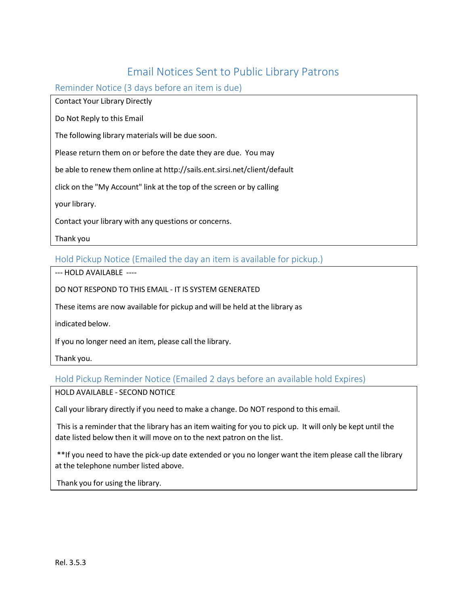# Email Notices Sent to Public Library Patrons

Reminder Notice (3 days before an item is due)

Contact Your Library Directly

Do Not Reply to this Email

The following library materials will be due soon.

Please return them on or before the date they are due. You may

be able to renew them online at <http://sails.ent.sirsi.net/client/default>

click on the "My Account" link at the top of the screen or by calling

your library.

Contact your library with any questions or concerns.

Thank you

Hold Pickup Notice (Emailed the day an item is available for pickup.)

‐‐‐ HOLD AVAILABLE ‐‐‐‐

DO NOT RESPOND TO THIS EMAIL ‐ IT IS SYSTEM GENERATED

These items are now available for pickup and will be held at the library as

indicated below.

If you no longer need an item, please call the library.

Thank you.

Hold Pickup Reminder Notice (Emailed 2 days before an available hold Expires)

HOLD AVAILABLE ‐ SECOND NOTICE

Call your library directly if you need to make a change. Do NOT respond to this email.

This is a reminder that the library has an item waiting for you to pick up. It will only be kept until the date listed below then it will move on to the next patron on the list.

\*\*If you need to have the pick‐up date extended or you no longer want the item please call the library at the telephone number listed above.

Thank you for using the library.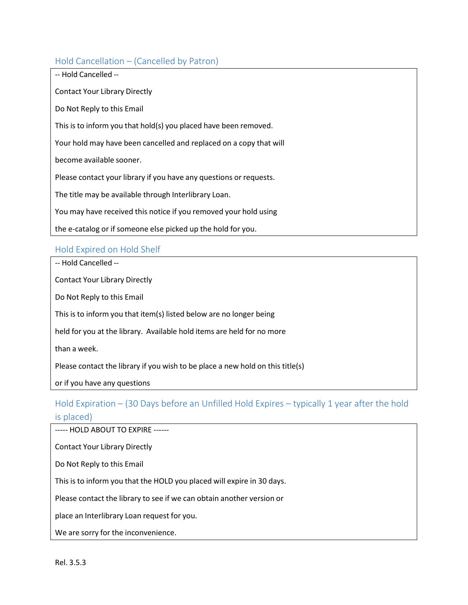### Hold Cancellation – (Cancelled by Patron)

| -- Hold Cancelled --                                               |
|--------------------------------------------------------------------|
| <b>Contact Your Library Directly</b>                               |
| Do Not Reply to this Email                                         |
| This is to inform you that hold(s) you placed have been removed.   |
| Your hold may have been cancelled and replaced on a copy that will |
| become available sooner.                                           |
| Please contact your library if you have any questions or requests. |
| The title may be available through Interlibrary Loan.              |
| You may have received this notice if you removed your hold using   |
| the e-catalog or if someone else picked up the hold for you.       |

### Hold Expired on Hold Shelf

‐‐ Hold Cancelled ‐‐

Contact Your Library Directly

Do Not Reply to this Email

This is to inform you that item(s) listed below are no longer being

held for you at the library. Available hold items are held for no more

than a week.

Please contact the library if you wish to be place a new hold on this title(s)

or if you have any questions

# Hold Expiration – (30 Days before an Unfilled Hold Expires – typically 1 year after the hold is placed)

----- HOLD ABOUT TO EXPIRE ------

Contact Your Library Directly

Do Not Reply to this Email

This is to inform you that the HOLD you placed will expire in 30 days.

Please contact the library to see if we can obtain another version or

place an Interlibrary Loan request for you.

We are sorry for the inconvenience.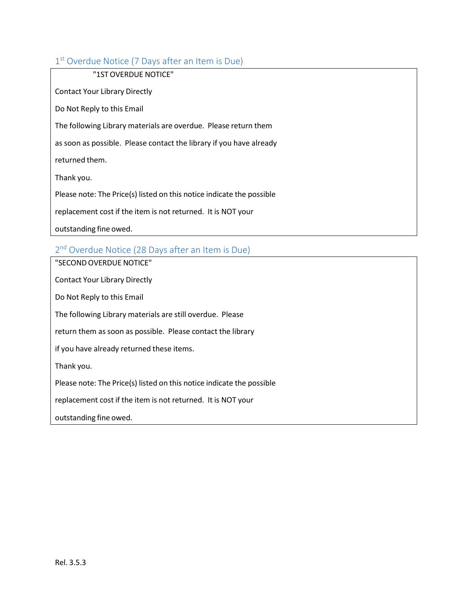## 1<sup>st</sup> Overdue Notice (7 Days after an Item is Due)

| "1ST OVERDUE NOTICE"                                                  |
|-----------------------------------------------------------------------|
| <b>Contact Your Library Directly</b>                                  |
| Do Not Reply to this Email                                            |
| The following Library materials are overdue. Please return them       |
| as soon as possible. Please contact the library if you have already   |
| returned them.                                                        |
| Thank you.                                                            |
| Please note: The Price(s) listed on this notice indicate the possible |
| replacement cost if the item is not returned. It is NOT your          |
| outstanding fine owed.                                                |

## 2<sup>nd</sup> Overdue Notice (28 Days after an Item is Due)

"SECONDOVERDUE NOTICE" Contact Your Library Directly Do Not Reply to this Email The following Library materials are still overdue. Please return them as soon as possible. Please contact the library if you have already returned these items. Thank you. Please note: The Price(s) listed on this notice indicate the possible replacement cost if the item is not returned. It is NOT your outstanding fine owed.